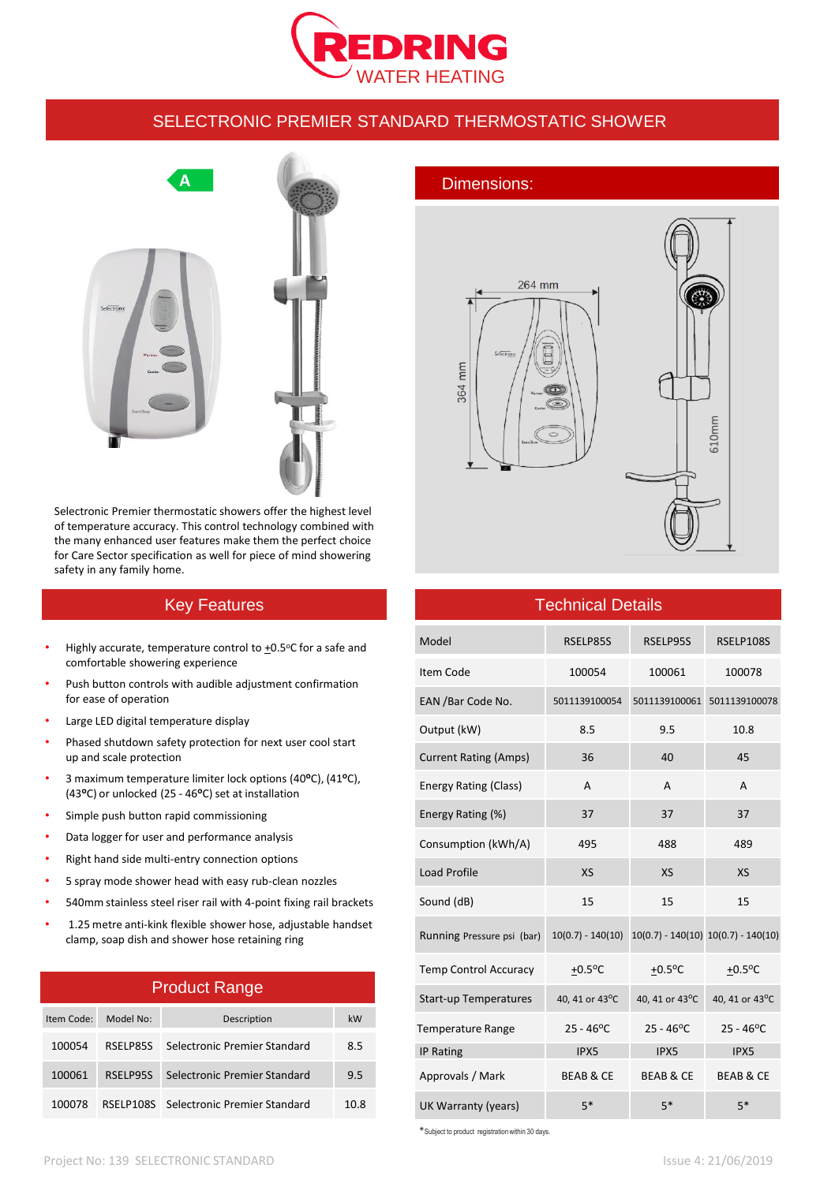

#### SELECTRONIC PREMIER STANDARD THERMOSTATIC SHOWER



Selectronic Premier thermostatic showers offer the highest level of temperature accuracy. This control technology combined with the many enhanced user features make them the perfect choice for Care Sector specification as well for piece of mind showering safety in any family home.

# Key Features

- Highly accurate, temperature control to  $+0.5$ °C for a safe and comfortable showering experience
- Push button controls with audible adjustment confirmation for ease of operation
- Large LED digital temperature display
- Phased shutdown safety protection for next user cool start up and scale protection
- 3 maximum temperature limiter lock options (40**o**C), (41**o**C), (43<sup>o</sup>C) or unlocked (25 - 46<sup>o</sup>C) set at installation
- Simple push button rapid commissioning
- Data logger for user and performance analysis
- Right hand side multi-entry connection options
- 5 spray mode shower head with easy rub-clean nozzles
- 540mm stainless steel riser rail with 4-point fixing rail brackets
- 1.25 metre anti-kink flexible shower hose, adjustable handset clamp, soap dish and shower hose retaining ring

#### Product Range

| Item Code: | Model No: | Description                            | kW   |
|------------|-----------|----------------------------------------|------|
| 100054     | RSELP85S  | Selectronic Premier Standard           | 8.5  |
| 100061     | RSELP95S  | Selectronic Premier Standard           | 9.5  |
| 100078     |           | RSELP108S Selectronic Premier Standard | 10.8 |



## Technical Details

| Model                        | RSELP85S                                                    | RSELP95S              | RSELP108S             |
|------------------------------|-------------------------------------------------------------|-----------------------|-----------------------|
| Item Code                    | 100054                                                      | 100061                | 100078                |
| EAN / Bar Code No.           | 5011139100054                                               | 5011139100061         | 5011139100078         |
| Output (kW)                  | 8.5                                                         | 9.5                   | 10.8                  |
| <b>Current Rating (Amps)</b> | 36                                                          | 40                    | 45                    |
| Energy Rating (Class)        | A                                                           | A                     | A                     |
| Energy Rating (%)            | 37                                                          | 37                    | 37                    |
| Consumption (kWh/A)          | 495                                                         | 488                   | 489                   |
| <b>Load Profile</b>          | <b>XS</b>                                                   | <b>XS</b>             | <b>XS</b>             |
| Sound (dB)                   | 15                                                          | 15                    | 15                    |
| Running Pressure psi (bar)   | $10(0.7) - 140(10) - 10(0.7) - 140(10) - 10(0.7) - 140(10)$ |                       |                       |
| <b>Temp Control Accuracy</b> | $+0.5$ <sup>o</sup> C                                       | $+0.5$ <sup>o</sup> C | $+0.5$ <sup>o</sup> C |
| <b>Start-up Temperatures</b> | 40, 41 or 43°C                                              | 40, 41 or 43°C        | 40, 41 or 43°C        |
| <b>Temperature Range</b>     | $25 - 46^{\circ}$ C                                         | $25 - 46^{\circ}$ C   | $25 - 46^{\circ}C$    |
| <b>IP Rating</b>             | IPX5                                                        | IPX5                  | IPX5                  |
| Approvals / Mark             | <b>BEAB &amp; CE</b>                                        | <b>BEAB &amp; CE</b>  | <b>BEAB &amp; CE</b>  |
| UK Warranty (years)          | $5*$                                                        | $5*$                  | $5*$                  |

\*Subject to product registration within 30 days.